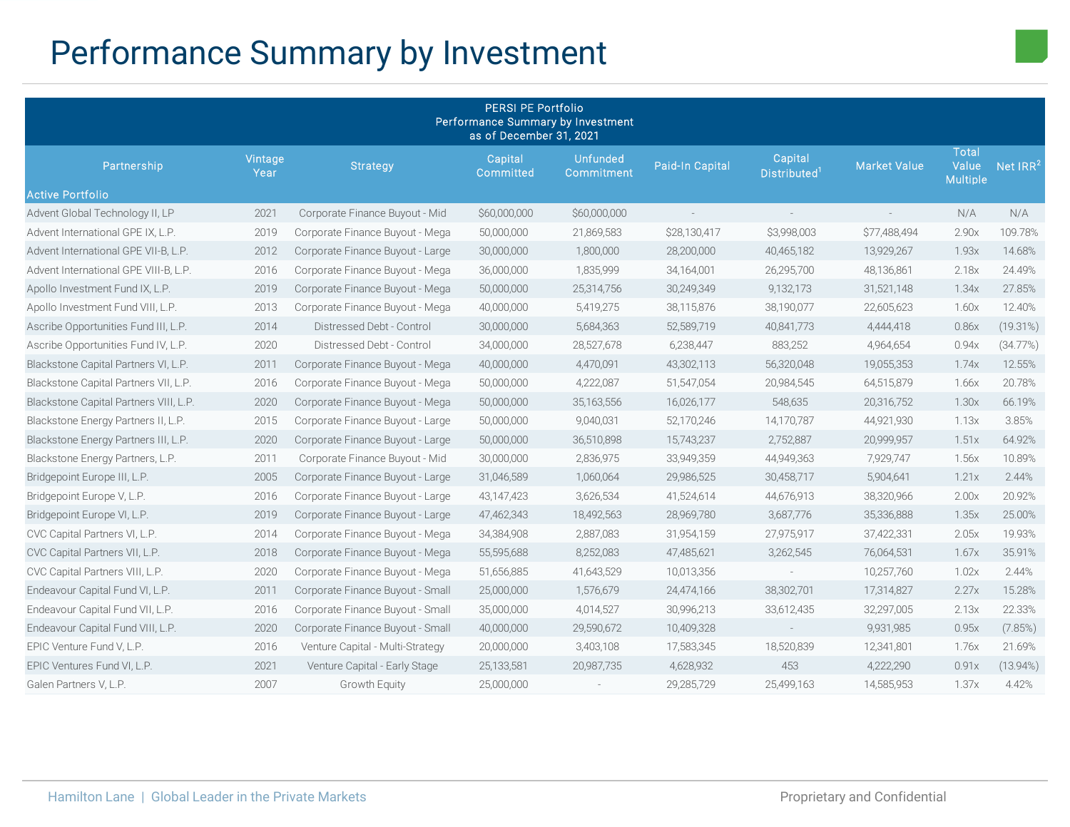# Performance Summary by Investment

| <b>PERSI PE Portfolio</b><br>Performance Summary by Investment<br>as of December 31, 2021 |                 |                                  |                      |                               |                 |                                     |                     |                                   |             |
|-------------------------------------------------------------------------------------------|-----------------|----------------------------------|----------------------|-------------------------------|-----------------|-------------------------------------|---------------------|-----------------------------------|-------------|
| Partnership                                                                               | Vintage<br>Year | <b>Strategy</b>                  | Capital<br>Committed | <b>Unfunded</b><br>Commitment | Paid-In Capital | Capital<br>Distributed <sup>1</sup> | <b>Market Value</b> | Total<br>Value<br><b>Multiple</b> | Net $IRR2$  |
| Active Portfolio                                                                          |                 |                                  |                      |                               |                 |                                     |                     |                                   |             |
| Advent Global Technology II, LP                                                           | 2021            | Corporate Finance Buyout - Mid   | \$60,000,000         | \$60,000,000                  | $\sim$          |                                     | $\sim$              | N/A                               | N/A         |
| Advent International GPE IX, L.P.                                                         | 2019            | Corporate Finance Buyout - Mega  | 50,000,000           | 21,869,583                    | \$28,130,417    | \$3,998,003                         | \$77,488,494        | 2.90x                             | 109.78%     |
| Advent International GPE VII-B, L.P.                                                      | 2012            | Corporate Finance Buyout - Large | 30,000,000           | 1,800,000                     | 28,200,000      | 40,465,182                          | 13,929,267          | 1.93x                             | 14.68%      |
| Advent International GPE VIII-B, L.P.                                                     | 2016            | Corporate Finance Buyout - Mega  | 36,000,000           | 1,835,999                     | 34,164,001      | 26,295,700                          | 48,136,861          | 2.18x                             | 24.49%      |
| Apollo Investment Fund IX, L.P.                                                           | 2019            | Corporate Finance Buyout - Mega  | 50,000,000           | 25,314,756                    | 30,249,349      | 9,132,173                           | 31,521,148          | 1.34x                             | 27.85%      |
| Apollo Investment Fund VIII, L.P.                                                         | 2013            | Corporate Finance Buyout - Mega  | 40,000,000           | 5,419,275                     | 38,115,876      | 38,190,077                          | 22,605,623          | 1.60x                             | 12.40%      |
| Ascribe Opportunities Fund III, L.P.                                                      | 2014            | Distressed Debt - Control        | 30,000,000           | 5,684,363                     | 52,589,719      | 40,841,773                          | 4,444,418           | 0.86x                             | (19.31%)    |
| Ascribe Opportunities Fund IV, L.P.                                                       | 2020            | Distressed Debt - Control        | 34,000,000           | 28,527,678                    | 6,238,447       | 883,252                             | 4,964,654           | 0.94x                             | (34.77%)    |
| Blackstone Capital Partners VI, L.P.                                                      | 2011            | Corporate Finance Buyout - Mega  | 40,000,000           | 4,470,091                     | 43,302,113      | 56,320,048                          | 19,055,353          | 1.74x                             | 12.55%      |
| Blackstone Capital Partners VII, L.P.                                                     | 2016            | Corporate Finance Buyout - Mega  | 50,000,000           | 4,222,087                     | 51,547,054      | 20,984,545                          | 64,515,879          | 1.66x                             | 20.78%      |
| Blackstone Capital Partners VIII, L.P.                                                    | 2020            | Corporate Finance Buyout - Mega  | 50,000,000           | 35,163,556                    | 16,026,177      | 548,635                             | 20,316,752          | 1.30x                             | 66.19%      |
| Blackstone Energy Partners II, L.P.                                                       | 2015            | Corporate Finance Buyout - Large | 50,000,000           | 9,040,031                     | 52,170,246      | 14,170,787                          | 44,921,930          | 1.13x                             | 3.85%       |
| Blackstone Energy Partners III, L.P.                                                      | 2020            | Corporate Finance Buyout - Large | 50,000,000           | 36,510,898                    | 15,743,237      | 2,752,887                           | 20,999,957          | 1.51x                             | 64.92%      |
| Blackstone Energy Partners, L.P.                                                          | 2011            | Corporate Finance Buyout - Mid   | 30,000,000           | 2,836,975                     | 33,949,359      | 44,949,363                          | 7,929,747           | 1.56x                             | 10.89%      |
| Bridgepoint Europe III, L.P.                                                              | 2005            | Corporate Finance Buyout - Large | 31,046,589           | 1,060,064                     | 29,986,525      | 30,458,717                          | 5,904,641           | 1.21x                             | 2.44%       |
| Bridgepoint Europe V, L.P.                                                                | 2016            | Corporate Finance Buyout - Large | 43,147,423           | 3,626,534                     | 41,524,614      | 44,676,913                          | 38,320,966          | 2.00x                             | 20.92%      |
| Bridgepoint Europe VI, L.P.                                                               | 2019            | Corporate Finance Buyout - Large | 47,462,343           | 18,492,563                    | 28,969,780      | 3,687,776                           | 35,336,888          | 1.35x                             | 25.00%      |
| CVC Capital Partners VI, L.P.                                                             | 2014            | Corporate Finance Buyout - Mega  | 34,384,908           | 2,887,083                     | 31,954,159      | 27,975,917                          | 37,422,331          | 2.05x                             | 19.93%      |
| CVC Capital Partners VII, L.P.                                                            | 2018            | Corporate Finance Buyout - Mega  | 55,595,688           | 8,252,083                     | 47,485,621      | 3,262,545                           | 76,064,531          | 1.67x                             | 35.91%      |
| CVC Capital Partners VIII, L.P.                                                           | 2020            | Corporate Finance Buyout - Mega  | 51,656,885           | 41,643,529                    | 10,013,356      |                                     | 10,257,760          | 1.02x                             | 2.44%       |
| Endeavour Capital Fund VI, L.P.                                                           | 2011            | Corporate Finance Buyout - Small | 25,000,000           | 1,576,679                     | 24,474,166      | 38,302,701                          | 17,314,827          | 2.27x                             | 15.28%      |
| Endeavour Capital Fund VII, L.P.                                                          | 2016            | Corporate Finance Buyout - Small | 35,000,000           | 4,014,527                     | 30,996,213      | 33,612,435                          | 32,297,005          | 2.13x                             | 22.33%      |
| Endeavour Capital Fund VIII, L.P.                                                         | 2020            | Corporate Finance Buyout - Small | 40,000,000           | 29,590,672                    | 10,409,328      | $\sim$                              | 9,931,985           | 0.95x                             | (7.85%)     |
| EPIC Venture Fund V, L.P.                                                                 | 2016            | Venture Capital - Multi-Strategy | 20,000,000           | 3,403,108                     | 17,583,345      | 18,520,839                          | 12,341,801          | 1.76x                             | 21.69%      |
| EPIC Ventures Fund VI, L.P.                                                               | 2021            | Venture Capital - Early Stage    | 25,133,581           | 20,987,735                    | 4,628,932       | 453                                 | 4,222,290           | 0.91x                             | $(13.94\%)$ |
| Galen Partners V, L.P.                                                                    | 2007            | Growth Equity                    | 25,000,000           |                               | 29,285,729      | 25,499,163                          | 14,585,953          | 1.37x                             | 4.42%       |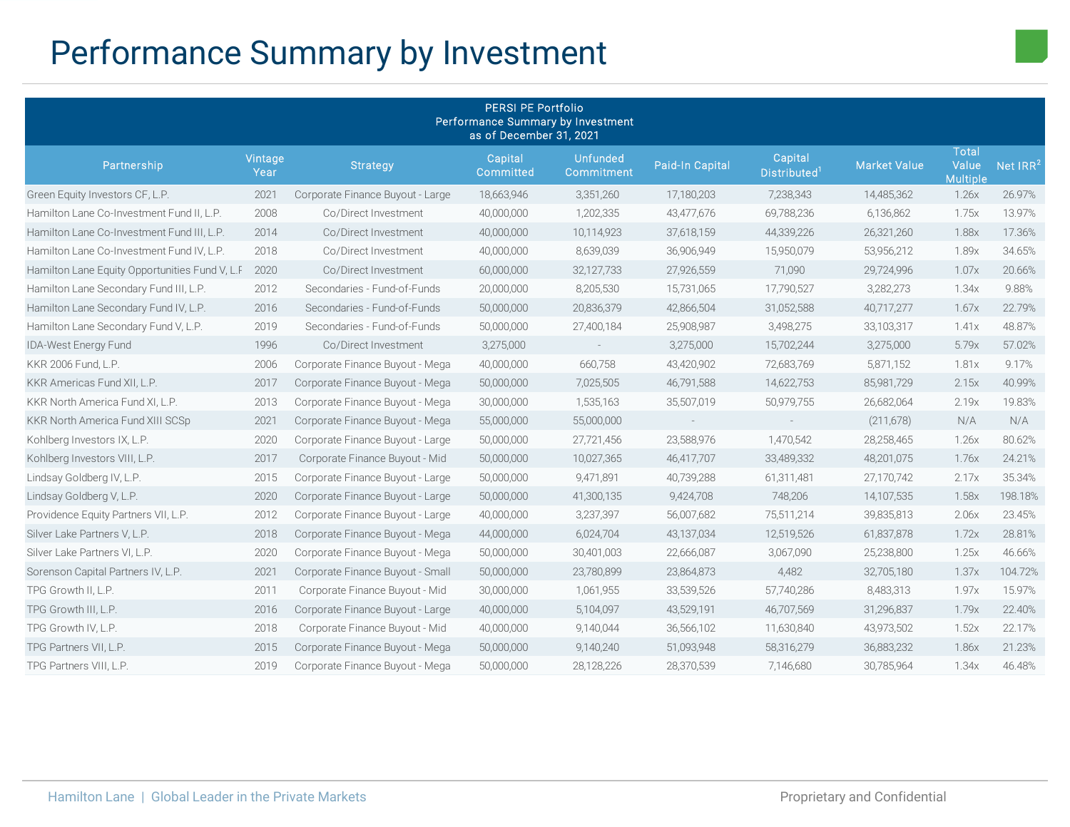# Performance Summary by Investment

| <b>PERSI PE Portfolio</b><br>Performance Summary by Investment<br>as of December 31, 2021 |                 |                                  |                      |                               |                 |                                     |                     |                                          |                      |
|-------------------------------------------------------------------------------------------|-----------------|----------------------------------|----------------------|-------------------------------|-----------------|-------------------------------------|---------------------|------------------------------------------|----------------------|
| Partnership                                                                               | Vintage<br>Year | <b>Strategy</b>                  | Capital<br>Committed | <b>Unfunded</b><br>Commitment | Paid-In Capital | Capital<br>Distributed <sup>1</sup> | <b>Market Value</b> | <b>Total</b><br>Value<br><b>Multiple</b> | Net IRR <sup>2</sup> |
| Green Equity Investors CF, L.P.                                                           | 2021            | Corporate Finance Buyout - Large | 18,663,946           | 3,351,260                     | 17,180,203      | 7,238,343                           | 14,485,362          | 1.26x                                    | 26.97%               |
| Hamilton Lane Co-Investment Fund II, L.P.                                                 | 2008            | Co/Direct Investment             | 40,000,000           | 1,202,335                     | 43,477,676      | 69,788,236                          | 6,136,862           | 1.75x                                    | 13.97%               |
| Hamilton Lane Co-Investment Fund III, L.P.                                                | 2014            | Co/Direct Investment             | 40,000,000           | 10,114,923                    | 37,618,159      | 44,339,226                          | 26,321,260          | 1.88x                                    | 17.36%               |
| Hamilton Lane Co-Investment Fund IV, L.P.                                                 | 2018            | Co/Direct Investment             | 40,000,000           | 8,639,039                     | 36,906,949      | 15,950,079                          | 53,956,212          | 1.89x                                    | 34.65%               |
| Hamilton Lane Equity Opportunities Fund V, L.F                                            | 2020            | Co/Direct Investment             | 60,000,000           | 32,127,733                    | 27,926,559      | 71,090                              | 29,724,996          | 1.07x                                    | 20.66%               |
| Hamilton Lane Secondary Fund III, L.P.                                                    | 2012            | Secondaries - Fund-of-Funds      | 20,000,000           | 8,205,530                     | 15,731,065      | 17,790,527                          | 3,282,273           | 1.34x                                    | 9.88%                |
| Hamilton Lane Secondary Fund IV, L.P.                                                     | 2016            | Secondaries - Fund-of-Funds      | 50,000,000           | 20,836,379                    | 42,866,504      | 31,052,588                          | 40,717,277          | 1.67x                                    | 22.79%               |
| Hamilton Lane Secondary Fund V, L.P.                                                      | 2019            | Secondaries - Fund-of-Funds      | 50,000,000           | 27,400,184                    | 25,908,987      | 3,498,275                           | 33,103,317          | 1.41x                                    | 48.87%               |
| IDA-West Energy Fund                                                                      | 1996            | Co/Direct Investment             | 3,275,000            | $\sim$                        | 3,275,000       | 15,702,244                          | 3,275,000           | 5.79x                                    | 57.02%               |
| KKR 2006 Fund, L.P.                                                                       | 2006            | Corporate Finance Buyout - Mega  | 40,000,000           | 660,758                       | 43,420,902      | 72,683,769                          | 5,871,152           | 1.81x                                    | 9.17%                |
| KKR Americas Fund XII, L.P.                                                               | 2017            | Corporate Finance Buyout - Mega  | 50,000,000           | 7,025,505                     | 46,791,588      | 14,622,753                          | 85,981,729          | 2.15x                                    | 40.99%               |
| KKR North America Fund XI, L.P.                                                           | 2013            | Corporate Finance Buyout - Mega  | 30,000,000           | 1,535,163                     | 35,507,019      | 50,979,755                          | 26,682,064          | 2.19x                                    | 19.83%               |
| KKR North America Fund XIII SCSp                                                          | 2021            | Corporate Finance Buyout - Mega  | 55,000,000           | 55,000,000                    | $\sim$          | $\sim$                              | (211,678)           | N/A                                      | N/A                  |
| Kohlberg Investors IX, L.P.                                                               | 2020            | Corporate Finance Buyout - Large | 50,000,000           | 27,721,456                    | 23,588,976      | 1,470,542                           | 28,258,465          | 1.26x                                    | 80.62%               |
| Kohlberg Investors VIII, L.P.                                                             | 2017            | Corporate Finance Buyout - Mid   | 50,000,000           | 10,027,365                    | 46,417,707      | 33,489,332                          | 48,201,075          | 1.76x                                    | 24.21%               |
| Lindsay Goldberg IV, L.P.                                                                 | 2015            | Corporate Finance Buyout - Large | 50,000,000           | 9,471,891                     | 40,739,288      | 61,311,481                          | 27,170,742          | 2.17x                                    | 35.34%               |
| Lindsay Goldberg V, L.P.                                                                  | 2020            | Corporate Finance Buyout - Large | 50,000,000           | 41,300,135                    | 9,424,708       | 748,206                             | 14,107,535          | 1.58x                                    | 198.18%              |
| Providence Equity Partners VII, L.P.                                                      | 2012            | Corporate Finance Buyout - Large | 40,000,000           | 3,237,397                     | 56,007,682      | 75,511,214                          | 39,835,813          | 2.06x                                    | 23.45%               |
| Silver Lake Partners V, L.P.                                                              | 2018            | Corporate Finance Buyout - Mega  | 44,000,000           | 6,024,704                     | 43,137,034      | 12,519,526                          | 61,837,878          | 1.72x                                    | 28.81%               |
| Silver Lake Partners VI, L.P.                                                             | 2020            | Corporate Finance Buyout - Mega  | 50,000,000           | 30,401,003                    | 22,666,087      | 3,067,090                           | 25,238,800          | 1.25x                                    | 46.66%               |
| Sorenson Capital Partners IV, L.P.                                                        | 2021            | Corporate Finance Buyout - Small | 50,000,000           | 23,780,899                    | 23,864,873      | 4,482                               | 32,705,180          | 1.37x                                    | 104.72%              |
| TPG Growth II, L.P.                                                                       | 2011            | Corporate Finance Buyout - Mid   | 30,000,000           | 1,061,955                     | 33,539,526      | 57,740,286                          | 8,483,313           | 1.97x                                    | 15.97%               |
| TPG Growth III, L.P.                                                                      | 2016            | Corporate Finance Buyout - Large | 40,000,000           | 5,104,097                     | 43,529,191      | 46,707,569                          | 31,296,837          | 1.79x                                    | 22.40%               |
| TPG Growth IV, L.P.                                                                       | 2018            | Corporate Finance Buyout - Mid   | 40,000,000           | 9,140,044                     | 36,566,102      | 11,630,840                          | 43,973,502          | 1.52x                                    | 22.17%               |
| TPG Partners VII, L.P.                                                                    | 2015            | Corporate Finance Buyout - Mega  | 50,000,000           | 9,140,240                     | 51,093,948      | 58,316,279                          | 36,883,232          | 1.86x                                    | 21.23%               |
| TPG Partners VIII, L.P.                                                                   | 2019            | Corporate Finance Buyout - Mega  | 50,000,000           | 28,128,226                    | 28,370,539      | 7,146,680                           | 30,785,964          | 1.34x                                    | 46.48%               |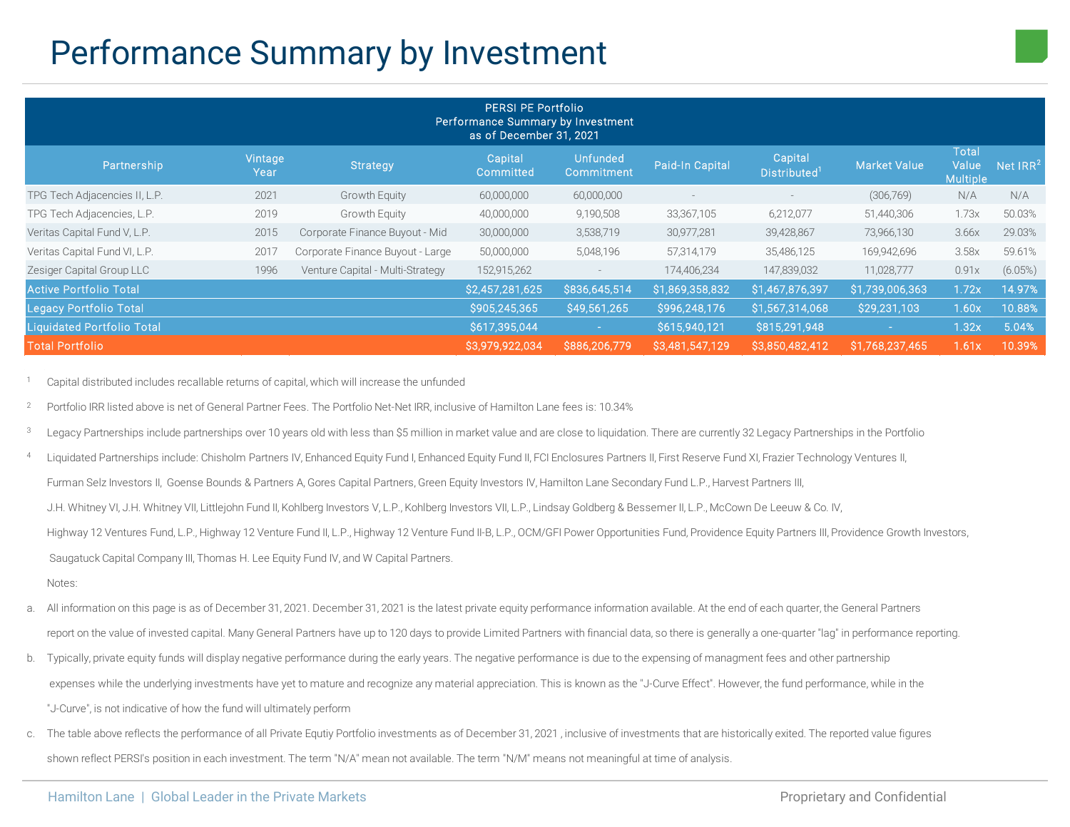## Performance Summary by Investment

| <b>PERSI PE Portfolio</b><br>Performance Summary by Investment<br>as of December 31, 2021 |                 |                                  |                      |                               |                 |                               |                     |                                          |                      |
|-------------------------------------------------------------------------------------------|-----------------|----------------------------------|----------------------|-------------------------------|-----------------|-------------------------------|---------------------|------------------------------------------|----------------------|
| Partnership                                                                               | Vintage<br>Year | Strategy                         | Capital<br>Committed | <b>Unfunded</b><br>Commitment | Paid-In Capital | Capital<br><b>Distributed</b> | <b>Market Value</b> | <b>Total</b><br>Value<br><b>Multiple</b> | Net IRR <sup>2</sup> |
| TPG Tech Adjacencies II, L.P.                                                             | 2021            | <b>Growth Equity</b>             | 60,000,000           | 60,000,000                    |                 | $\overline{\phantom{a}}$      | (306,769)           | N/A                                      | N/A                  |
| TPG Tech Adjacencies, L.P.                                                                | 2019            | Growth Equity                    | 40,000,000           | 9,190,508                     | 33,367,105      | 6,212,077                     | 51,440,306          | 1.73x                                    | 50.03%               |
| Veritas Capital Fund V, L.P.                                                              | 2015            | Corporate Finance Buyout - Mid   | 30,000,000           | 3,538,719                     | 30,977,281      | 39,428,867                    | 73,966,130          | 3.66x                                    | 29.03%               |
| Veritas Capital Fund VI, L.P.                                                             | 2017            | Corporate Finance Buyout - Large | 50,000,000           | 5,048,196                     | 57,314,179      | 35,486,125                    | 169,942,696         | 3.58x                                    | 59.61%               |
| Zesiger Capital Group LLC                                                                 | 1996            | Venture Capital - Multi-Strategy | 152,915,262          |                               | 174,406,234     | 147,839,032                   | 11,028,777          | 0.91x                                    | $(6.05\%)$           |
| <b>Active Portfolio Total</b>                                                             |                 |                                  | \$2,457,281,625      | \$836,645,514                 | \$1,869,358,832 | \$1,467,876,397               | \$1,739,006,363     | 1.72x                                    | 14.97%               |
| Legacy Portfolio Total                                                                    |                 | \$905,245,365                    | \$49,561,265         | \$996,248,176                 | \$1,567,314,068 | \$29,231,103                  | 1.60x               | 10.88%                                   |                      |
| <b>Liquidated Portfolio Total</b>                                                         |                 |                                  | \$617,395,044        | $\sim$                        | \$615,940,121   | \$815,291,948                 |                     | 1.32x                                    | 5.04%                |
| <b>Total Portfolio</b>                                                                    |                 |                                  | \$3,979,922,034      | \$886,206,779                 | \$3,481,547,129 | \$3,850,482,412               | \$1,768,237,465     | 1.61x                                    | 10.39%               |

<sup>1</sup> Capital distributed includes recallable returns of capital, which will increase the unfunded

<sup>2</sup> Portfolio IRR listed above is net of General Partner Fees. The Portfolio Net-Net IRR, inclusive of Hamilton Lane fees is: 10.34%

Legacy Partnerships include partnerships over 10 years old with less than \$5 million in market value and are close to liquidation. There are currently 32 Legacy Partnerships in the Portfolio

Liquidated Partnerships include: Chisholm Partners IV, Enhanced Equity Fund I, Enhanced Equity Fund II, FCI Enclosures Partners II, First Reserve Fund XI, Frazier Technology Ventures II, Furman Selz Investors II, Goense Bounds & Partners A, Gores Capital Partners, Green Equity Investors IV, Hamilton Lane Secondary Fund L.P., Harvest Partners III, J.H. Whitney VI, J.H. Whitney VII, Littlejohn Fund II, Kohlberg Investors V, L.P., Kohlberg Investors VII, L.P., Lindsay Goldberg & Bessemer II, L.P., McCown De Leeuw & Co. IV, Highway 12 Ventures Fund, L.P., Highway 12 Venture Fund II, L.P., Highway 12 Venture Fund II-B, L.P., OCM/GFI Power Opportunities Fund, Providence Equity Partners III, Providence Growth Investors, Saugatuck Capital Company III, Thomas H. Lee Equity Fund IV, and W Capital Partners.

Notes:

- All information on this page is as of December 31, 2021. December 31, 2021 is the latest private equity performance information available. At the end of each quarter, the General Partners report on the value of invested capital. Many General Partners have up to 120 days to provide Limited Partners with financial data, so there is generally a one-quarter "lag" in performance reporting.
- b. Typically, private equity funds will display negative performance during the early years. The negative performance is due to the expensing of managment fees and other partnership expenses while the underlying investments have yet to mature and recognize any material appreciation. This is known as the "J-Curve Effect". However, the fund performance, while in the "J-Curve", is not indicative of how the fund will ultimately perform
- c. The table above reflects the performance of all Private Equtiy Portfolio investments as of December 31, 2021 , inclusive of investments that are historically exited. The reported value figures shown reflect PERSI's position in each investment. The term "N/A" mean not available. The term "N/M" means not meaningful at time of analysis.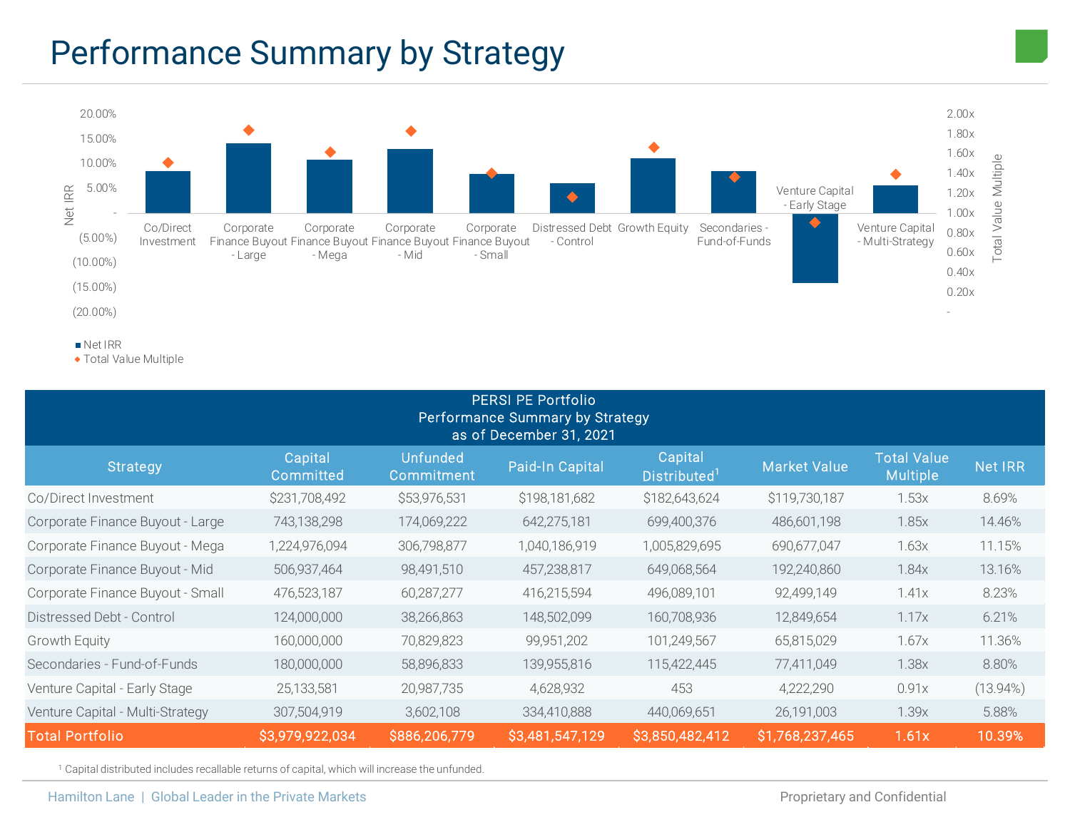# Performance Summary by Strategy



Total Value Multiple

| <b>PERSI PE Portfolio</b><br>Performance Summary by Strategy<br>as of December 31, 2021 |                      |                                      |                 |                                     |                 |                                       |                |  |  |
|-----------------------------------------------------------------------------------------|----------------------|--------------------------------------|-----------------|-------------------------------------|-----------------|---------------------------------------|----------------|--|--|
| Strategy                                                                                | Capital<br>Committed | <b>Unfunded</b><br><b>Commitment</b> | Paid-In Capital | Capital<br>Distributed <sup>1</sup> | Market Value    | <b>Total Value</b><br><b>Multiple</b> | <b>Net IRR</b> |  |  |
| Co/Direct Investment                                                                    | \$231,708,492        | \$53,976,531                         | \$198,181,682   | \$182,643,624                       | \$119,730,187   | 1.53x                                 | 8.69%          |  |  |
| Corporate Finance Buyout - Large                                                        | 743,138,298          | 174,069,222                          | 642,275,181     | 699,400,376                         | 486,601,198     | 1.85x                                 | 14.46%         |  |  |
| Corporate Finance Buyout - Mega                                                         | 1,224,976,094        | 306,798,877                          | 1,040,186,919   | 1,005,829,695                       | 690,677,047     | 1.63x                                 | 11.15%         |  |  |
| Corporate Finance Buyout - Mid                                                          | 506,937,464          | 98,491,510                           | 457,238,817     | 649,068,564                         | 192,240,860     | 1.84x                                 | 13.16%         |  |  |
| Corporate Finance Buyout - Small                                                        | 476,523,187          | 60,287,277                           | 416,215,594     | 496,089,101                         | 92,499,149      | 1.41x                                 | 8.23%          |  |  |
| Distressed Debt - Control                                                               | 124,000,000          | 38,266,863                           | 148,502,099     | 160,708,936                         | 12,849,654      | 1.17x                                 | 6.21%          |  |  |
| <b>Growth Equity</b>                                                                    | 160,000,000          | 70,829,823                           | 99,951,202      | 101,249,567                         | 65,815,029      | 1.67x                                 | 11.36%         |  |  |
| Secondaries - Fund-of-Funds                                                             | 180,000,000          | 58,896,833                           | 139,955,816     | 115,422,445                         | 77,411,049      | 1.38x                                 | 8.80%          |  |  |
| Venture Capital - Early Stage                                                           | 25,133,581           | 20,987,735                           | 4,628,932       | 453                                 | 4,222,290       | 0.91x                                 | $(13.94\%)$    |  |  |
| Venture Capital - Multi-Strategy                                                        | 307,504,919          | 3,602,108                            | 334,410,888     | 440,069,651                         | 26,191,003      | 1.39x                                 | 5.88%          |  |  |
| <b>Total Portfolio</b>                                                                  | \$3,979,922,034      | \$886,206,779                        | \$3,481,547,129 | \$3,850,482,412                     | \$1,768,237,465 | 1.61x                                 | 10.39%         |  |  |

<sup>1</sup> Capital distributed includes recallable returns of capital, which will increase the unfunded.